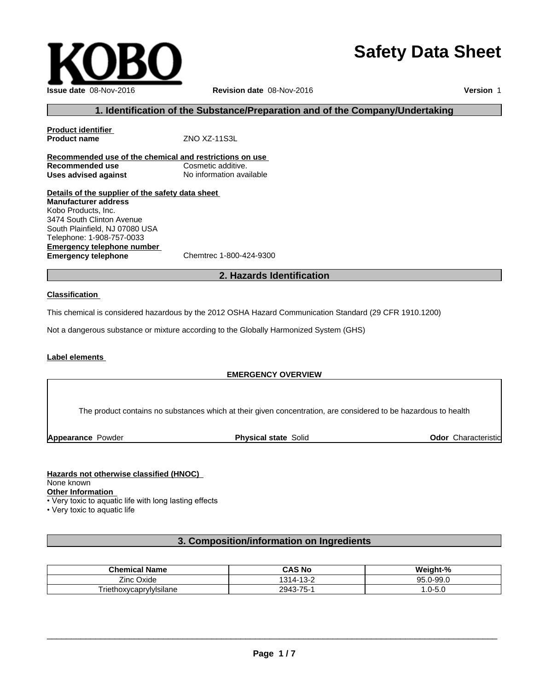# **Safety Data Sheet**



# **1. Identification of the Substance/Preparation and of the Company/Undertaking**

**Product identifier Product name** ZNO XZ-11S3L **Recommended use of the chemical and restrictions on use Recommended use Cosmetic additive. Uses advised against** No information available

**Details of the supplier of the safety data sheet Emergency telephone number Emergency telephone** Chemtrec 1-800-424-9300 **Manufacturer address** Kobo Products, Inc. 3474 South Clinton Avenue South Plainfield, NJ 07080 USA Telephone: 1-908-757-0033

# **2. Hazards Identification**

#### **Classification**

This chemical is considered hazardous by the 2012 OSHA Hazard Communication Standard (29 CFR 1910.1200)

Not a dangerous substance or mixture according to the Globally Harmonized System (GHS)

## **Label elements**

#### **EMERGENCY OVERVIEW**

The product contains no substances which at their given concentration, are considered to be hazardous to health

**Appearance Powder <b>Physical state** Solid

**Odor** Characteristic

#### **Hazards not otherwise classified (HNOC)**

None known

**Other Information**

• Very toxic to aquatic life with long lasting effects

• Very toxic to aquatic life

# **3. Composition/information on Ingredients**

| $\sim$ $\sim$<br><b>Name</b>             | .<br>CAS No                          | . .<br>. .<br>M<br>7٥        |
|------------------------------------------|--------------------------------------|------------------------------|
| --<br>Zinc<br>Oxide                      | $\sim$<br>04<br>∼-<br>`<br>.         | תמ<br>ററ උ<br>- JJ.U<br>JU.U |
| $\sim$<br>1000<br>/lyIsilane<br>געו<br>ᄞ | $- -$<br>201°,<br>$\sim$<br>∽-<br>-- | - J.U<br>$\cdot$             |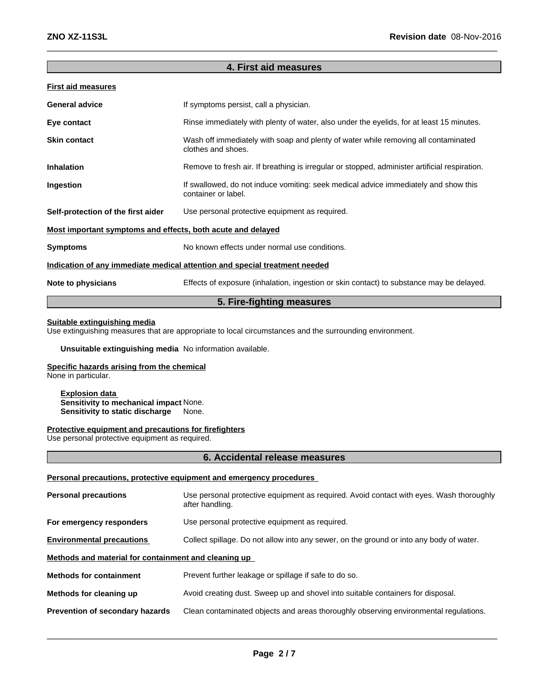# **4. First aid measures**

| <b>First aid measures</b>                                   |                                                                                                            |
|-------------------------------------------------------------|------------------------------------------------------------------------------------------------------------|
| <b>General advice</b>                                       | If symptoms persist, call a physician.                                                                     |
| Eye contact                                                 | Rinse immediately with plenty of water, also under the eyelids, for at least 15 minutes.                   |
| <b>Skin contact</b>                                         | Wash off immediately with soap and plenty of water while removing all contaminated<br>clothes and shoes.   |
| <b>Inhalation</b>                                           | Remove to fresh air. If breathing is irregular or stopped, administer artificial respiration.              |
| Ingestion                                                   | If swallowed, do not induce vomiting: seek medical advice immediately and show this<br>container or label. |
| Self-protection of the first aider                          | Use personal protective equipment as required.                                                             |
| Most important symptoms and effects, both acute and delayed |                                                                                                            |
| <b>Symptoms</b>                                             | No known effects under normal use conditions.                                                              |
|                                                             | Indication of any immediate medical attention and special treatment needed                                 |
| Note to physicians                                          | Effects of exposure (inhalation, ingestion or skin contact) to substance may be delayed.                   |
|                                                             |                                                                                                            |

# **5. Fire-fighting measures**

# **Suitable extinguishing media**

Use extinguishing measures that are appropriate to local circumstances and the surrounding environment.

**Unsuitable extinguishing media** No information available.

# **Specific hazards arising from the chemical**

None in particular.

**Explosion data Sensitivity to mechanical impact** None. **Sensitivity to static discharge** None.

# **Protective equipment and precautions for firefighters**

Use personal protective equipment as required.

# **6. Accidental release measures**

# Personal precautions, protective equipment and emergency procedures

| <b>Personal precautions</b>                          | Use personal protective equipment as required. Avoid contact with eyes. Wash thoroughly<br>after handling. |
|------------------------------------------------------|------------------------------------------------------------------------------------------------------------|
| For emergency responders                             | Use personal protective equipment as required.                                                             |
| <b>Environmental precautions</b>                     | Collect spillage. Do not allow into any sewer, on the ground or into any body of water.                    |
| Methods and material for containment and cleaning up |                                                                                                            |
| <b>Methods for containment</b>                       | Prevent further leakage or spillage if safe to do so.                                                      |
| Methods for cleaning up                              | Avoid creating dust. Sweep up and shovel into suitable containers for disposal.                            |
| <b>Prevention of secondary hazards</b>               | Clean contaminated objects and areas thoroughly observing environmental regulations.                       |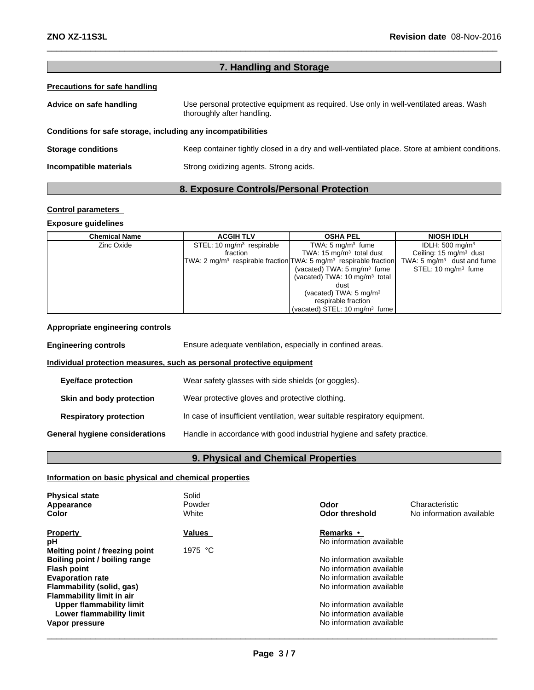# **7. Handling and Storage**

# **Precautions for safe handling**

| Advice on safe handling | Use personal protective equipment as required. Use only in well-ventilated areas. Wash |
|-------------------------|----------------------------------------------------------------------------------------|
|                         | thoroughly after handling.                                                             |
|                         |                                                                                        |

# **Conditions for safe storage, including any incompatibilities**

**Storage conditions** Keep container tightly closed in a dry and well-ventilated place. Store at ambient conditions. **Incompatible materials** Strong oxidizing agents. Strong acids.

# **8. Exposure Controls/Personal Protection**

# **Control parameters**

# **Exposure guidelines**

| <b>Chemical Name</b> | <b>ACGIH TLV</b>            | <b>OSHA PEL</b>                                                       | <b>NIOSH IDLH</b>                     |
|----------------------|-----------------------------|-----------------------------------------------------------------------|---------------------------------------|
| Zinc Oxide           | STEL: 10 $mq/m3$ respirable | TWA: $5 \text{ mg/m}^3$ fume                                          | IDLH: $500 \text{ mg/m}^3$            |
|                      | fraction                    | TWA: 15 $mg/m3$ total dust                                            | Ceiling: $15 \text{ mg/m}^3$ dust     |
|                      |                             | $TWA: 2 mg/m3$ respirable fraction $TWA: 5 mg/m3$ respirable fraction | TWA: $5 \text{ mg/m}^3$ dust and fume |
|                      |                             | (vacated) TWA: $5 \text{ mg/m}^3$ fume                                | STEL: $10 \text{ mg/m}^3$ fume        |
|                      |                             | (vacated) TWA: $10 \text{ mg/m}^3$ total                              |                                       |
|                      |                             | dust                                                                  |                                       |
|                      |                             | (vacated) TWA: $5 \text{ mg/m}^3$                                     |                                       |
|                      |                             | respirable fraction                                                   |                                       |
|                      |                             | (vacated) STEL: 10 mg/m <sup>3</sup> fume                             |                                       |

# **Appropriate engineering controls**

**Engineering controls Ensure adequate ventilation, especially in confined areas. Individual protection measures, such as personal protective equipment Eye/face protection** Wear safety glasses with side shields (or goggles). **Skin and body protection** Wear protective gloves and protective clothing. **Respiratory protection** In case of insufficient ventilation, wear suitable respiratory equipment. **General hygiene considerations** Handle in accordance with good industrial hygiene and safety practice.

# **9. Physical and Chemical Properties**

# **Information on basic physical and chemical properties**

| <b>Physical state</b><br>Appearance<br>Color                                                                                                   | Solid<br>Powder<br>White   | Odor<br>Characteristic<br>No information available<br><b>Odor threshold</b>                                                      |
|------------------------------------------------------------------------------------------------------------------------------------------------|----------------------------|----------------------------------------------------------------------------------------------------------------------------------|
| <b>Property</b><br>рH<br>Melting point / freezing point<br>Boiling point / boiling range<br><b>Flash point</b><br><b>Evaporation rate</b>      | <b>Values</b><br>1975 $°C$ | <b>Remarks •</b><br>No information available<br>No information available<br>No information available<br>No information available |
| Flammability (solid, gas)<br><b>Flammability limit in air</b><br><b>Upper flammability limit</b><br>Lower flammability limit<br>Vapor pressure |                            | No information available<br>No information available<br>No information available<br>No information available                     |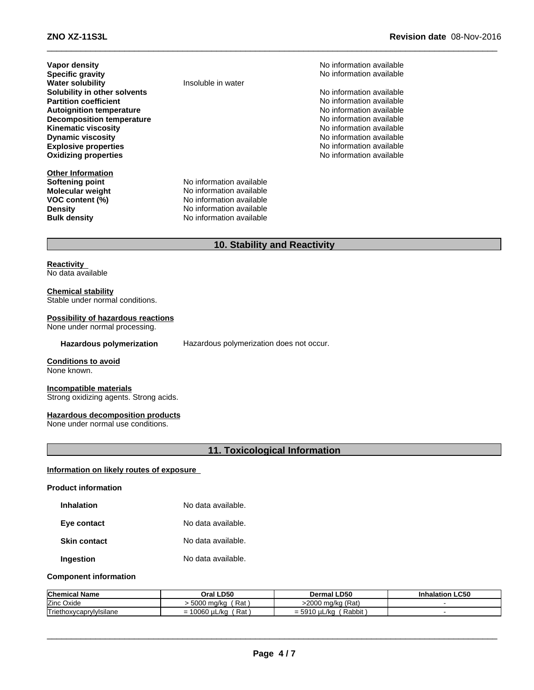**Vapor density**<br> **Specific gravity**<br> **Specific gravity**<br> **No information available Water** solubility **Solubility in other solvents intervalsed and** *solubility* **in other solvents** No information available **Partition coefficient coefficient coefficient coefficient coefficient coefficient coefficient coefficient coefficient coefficient coefficient coefficient coefficient coefficient coefficient c Autoignition temperature**<br> **Decomposition temperature** Noinformation available<br>
No information available **Decomposition temperature**  $\blacksquare$  No information available<br> **Kinematic viscosity** No information available **Kinematic viscosity Dynamic viscosity**<br> **Explosive properties**<br> **Explosive properties Explosive properties**<br> **Explosive properties**<br> **Oxidizing properties**<br> **Oxidizing properties**<br>
No information available **Oxidizing properties** 

**Other Information**<br>**Softening point** 

**Specifically** No information available<br>
Insoluble in water

**No information available Molecular weight** No information available **VOC content (%)** No information available **Density** No information available **Bulk density** No information available

# **10. Stability and Reactivity**

# **Reactivity**<br>No data available<br>Chemical stability No data available

Stable under normal conditions.

# **Possibility of hazardous reactions**

None under normal processing.

Hazardous polymerization Hazardous polymerization does not occur.

#### **Conditions to avoid** None known.

**Incompatible materials** Strong oxidizing agents. Strong acids.

# **Hazardous decomposition products**

None under normal use conditions.

# **11. Toxicological Information**

# **Information on likely routes of exposure Product information**

| <b>Inhalation</b>   | No data available. |
|---------------------|--------------------|
| Eye contact         | No data available. |
| <b>Skin contact</b> | No data available. |
| Ingestion           | No data available. |

# **Component information**

| <b>Chemical Name</b>            | Oral LD50                                | <b>LD50</b><br><i>D</i> ermal ′                 | <b>Inhalation LC50</b> |
|---------------------------------|------------------------------------------|-------------------------------------------------|------------------------|
| <b>Zinc</b><br>Oxide            | Rat<br>5000<br>) ma/ka                   | >2000 mg/kg (Rat)                               |                        |
| Triethox.<br>าoxvcaprvlvIsilane | 0.000<br>D ot<br>/kc<br>uu6u<br>nai<br>- | Rabbit<br>$\mu$<br>่ง<br>$^{\prime}$ N.<br>= లల |                        |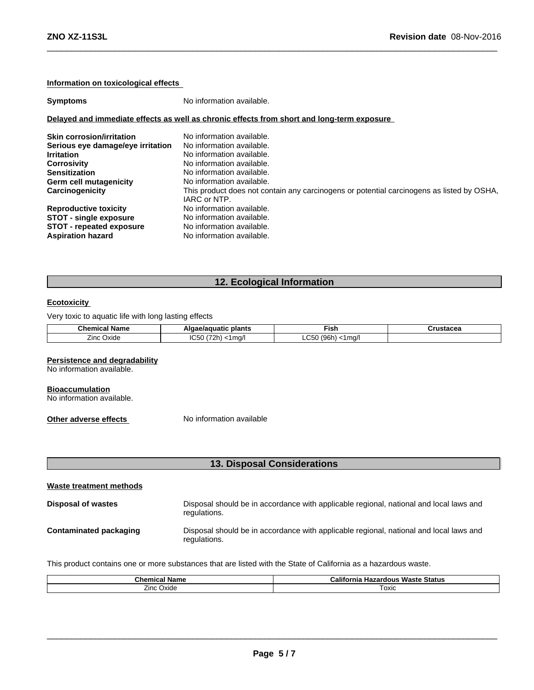# **Information on toxicological effects**

**Symptoms** No information available.

#### **Delayed and immediate effects as well as chronic effects from short and long-term exposure**

| <b>Skin corrosion/irritation</b><br>Serious eye damage/eye irritation<br><b>Irritation</b><br><b>Corrosivity</b><br><b>Sensitization</b><br><b>Germ cell mutagenicity</b><br>Carcinogenicity | No information available.<br>No information available.<br>No information available.<br>No information available.<br>No information available.<br>No information available.<br>This product does not contain any carcinogens or potential carcinogens as listed by OSHA,<br>IARC or NTP. |
|----------------------------------------------------------------------------------------------------------------------------------------------------------------------------------------------|-----------------------------------------------------------------------------------------------------------------------------------------------------------------------------------------------------------------------------------------------------------------------------------------|
| <b>Reproductive toxicity</b>                                                                                                                                                                 | No information available.                                                                                                                                                                                                                                                               |
| <b>STOT - single exposure</b>                                                                                                                                                                | No information available.                                                                                                                                                                                                                                                               |
| <b>STOT - repeated exposure</b>                                                                                                                                                              | No information available.                                                                                                                                                                                                                                                               |
| <b>Aspiration hazard</b>                                                                                                                                                                     | No information available.                                                                                                                                                                                                                                                               |

# **12. Ecological Information**

# **Ecotoxicity**

Very toxic to aquatic life with long lasting effects

| <b>Chemical</b> .<br>Name | plants<br>iae/aquatic<br>Alaa | $\sim$<br>Fish     | $T = 100$<br>. uslacea |
|---------------------------|-------------------------------|--------------------|------------------------|
| -                         | $\sim$ $\sim$ $\sim$          | $\sim$ $\sim$      |                        |
| Oxide                     | 2701                          | (96 <sub>b</sub> ) |                        |
| $^{\prime}$               | ma/l                          | l ma/l             |                        |
| ш.                        | יי                            | ∽                  |                        |
|                           | טטטו                          | .uu                |                        |
|                           |                               | . .                |                        |

#### **Persistence and degradability**

No information available.

#### **Bioaccumulation**

No information available.

**Other adverse effects** No information available

|                         | 13. Disposal Considerations                                                                            |  |  |
|-------------------------|--------------------------------------------------------------------------------------------------------|--|--|
| Waste treatment methods |                                                                                                        |  |  |
| Disposal of wastes      | Disposal should be in accordance with applicable regional, national and local laws and<br>regulations. |  |  |
|                         |                                                                                                        |  |  |

# **Contaminated packaging** Disposal should be in accordance with applicable regional, national and local laws and regulations.

This product contains one or more substances that are listed with the State of California as a hazardous waste.

| $\sim$<br>--<br>∵Name.<br>nο<br>unicai n | $\cdots$<br><br>⊦Status<br>Waste<br>California<br>Hazardous |
|------------------------------------------|-------------------------------------------------------------|
| Oxide<br>∠inc '                          | ⊺oxic                                                       |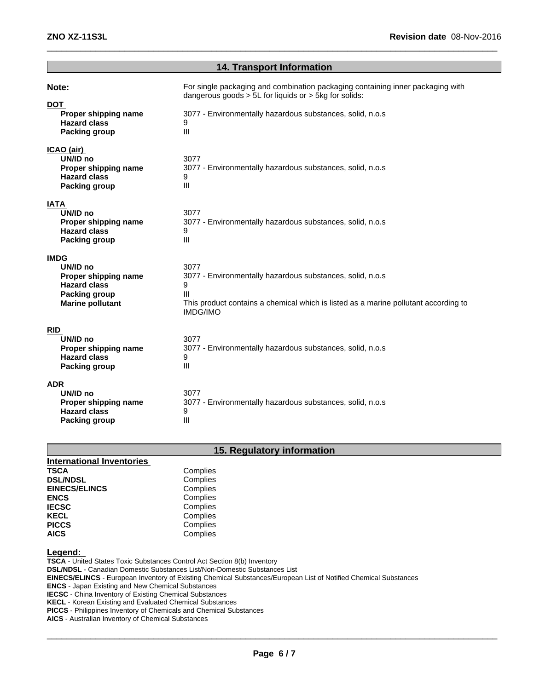|                                                                                                                           | <b>14. Transport Information</b>                                                                                                                                                                                     |
|---------------------------------------------------------------------------------------------------------------------------|----------------------------------------------------------------------------------------------------------------------------------------------------------------------------------------------------------------------|
| Note:<br><b>DOT</b><br>Proper shipping name<br><b>Hazard class</b><br><b>Packing group</b>                                | For single packaging and combination packaging containing inner packaging with<br>dangerous goods $> 5L$ for liquids or $> 5kg$ for solids:<br>3077 - Environmentally hazardous substances, solid, n.o.s<br>9<br>III |
| ICAO (air)<br>UN/ID no<br>Proper shipping name<br><b>Hazard class</b><br><b>Packing group</b>                             | 3077<br>3077 - Environmentally hazardous substances, solid, n.o.s<br>9<br>III                                                                                                                                        |
| <b>IATA</b><br>UN/ID no<br>Proper shipping name<br><b>Hazard class</b><br><b>Packing group</b>                            | 3077<br>3077 - Environmentally hazardous substances, solid, n.o.s<br>9<br>III                                                                                                                                        |
| <b>IMDG</b><br>UN/ID no<br>Proper shipping name<br><b>Hazard class</b><br><b>Packing group</b><br><b>Marine pollutant</b> | 3077<br>3077 - Environmentally hazardous substances, solid, n.o.s<br>9<br>$\mathbf{III}$<br>This product contains a chemical which is listed as a marine pollutant according to<br><b>IMDG/IMO</b>                   |
| <b>RID</b><br>UN/ID no<br>Proper shipping name<br><b>Hazard class</b><br><b>Packing group</b>                             | 3077<br>3077 - Environmentally hazardous substances, solid, n.o.s<br>9<br>III                                                                                                                                        |
| <b>ADR</b><br>UN/ID no<br>Proper shipping name<br><b>Hazard class</b><br><b>Packing group</b>                             | 3077<br>3077 - Environmentally hazardous substances, solid, n.o.s<br>9<br>Ш                                                                                                                                          |

# **15. Regulatory information**

| <b>International Inventories</b> |          |
|----------------------------------|----------|
| <b>TSCA</b>                      | Complies |
| <b>DSL/NDSL</b>                  | Complies |
| <b>EINECS/ELINCS</b>             | Complies |
| <b>ENCS</b>                      | Complies |
| <b>IECSC</b>                     | Complies |
| <b>KECL</b>                      | Complies |
| <b>PICCS</b>                     | Complies |
| <b>AICS</b>                      | Complies |

# **Legend:**

**TSCA** - United States Toxic Substances Control Act Section 8(b) Inventory **DSL/NDSL** - Canadian Domestic Substances List/Non-Domestic Substances List **EINECS/ELINCS** - European Inventory of Existing Chemical Substances/European List of Notified Chemical Substances **ENCS** - Japan Existing and New Chemical Substances **IECSC** - China Inventory of Existing Chemical Substances **KECL** - Korean Existing and Evaluated Chemical Substances **PICCS** - Philippines Inventory of Chemicals and Chemical Substances

**AICS** - Australian Inventory of Chemical Substances